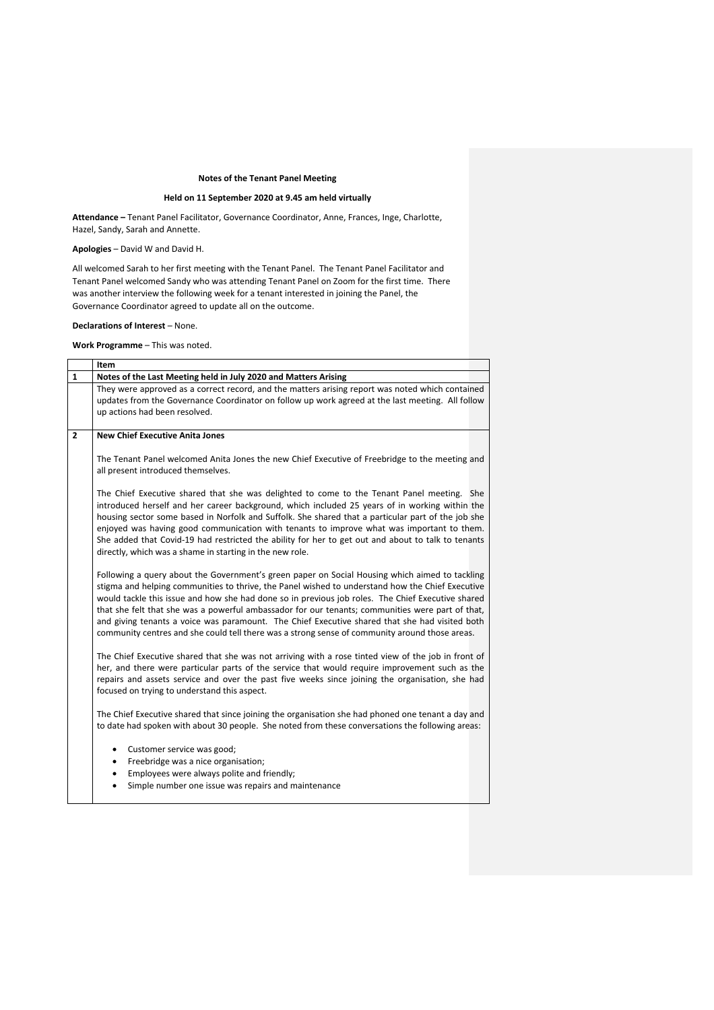## **Notes of the Tenant Panel Meeting**

## **Held on 11 September 2020 at 9.45 am held virtually**

**Attendance –** Tenant Panel Facilitator, Governance Coordinator, Anne, Frances, Inge, Charlotte, Hazel, Sandy, Sarah and Annette.

**Apologies** – David W and David H.

All welcomed Sarah to her first meeting with the Tenant Panel. The Tenant Panel Facilitator and Tenant Panel welcomed Sandy who was attending Tenant Panel on Zoom for the first time. There was another interview the following week for a tenant interested in joining the Panel, the Governance Coordinator agreed to update all on the outcome.

**Declarations of Interest** – None.

**Work Programme** – This was noted.

|                | Item                                                                                                                                                                                                                                                                                                                                                                                                                                                                                                                                                                                                            |  |
|----------------|-----------------------------------------------------------------------------------------------------------------------------------------------------------------------------------------------------------------------------------------------------------------------------------------------------------------------------------------------------------------------------------------------------------------------------------------------------------------------------------------------------------------------------------------------------------------------------------------------------------------|--|
| 1              | Notes of the Last Meeting held in July 2020 and Matters Arising                                                                                                                                                                                                                                                                                                                                                                                                                                                                                                                                                 |  |
|                | They were approved as a correct record, and the matters arising report was noted which contained<br>updates from the Governance Coordinator on follow up work agreed at the last meeting. All follow<br>up actions had been resolved.                                                                                                                                                                                                                                                                                                                                                                           |  |
| $\overline{2}$ | <b>New Chief Executive Anita Jones</b>                                                                                                                                                                                                                                                                                                                                                                                                                                                                                                                                                                          |  |
|                | The Tenant Panel welcomed Anita Jones the new Chief Executive of Freebridge to the meeting and<br>all present introduced themselves.                                                                                                                                                                                                                                                                                                                                                                                                                                                                            |  |
|                | The Chief Executive shared that she was delighted to come to the Tenant Panel meeting. She<br>introduced herself and her career background, which included 25 years of in working within the<br>housing sector some based in Norfolk and Suffolk. She shared that a particular part of the job she<br>enjoyed was having good communication with tenants to improve what was important to them.<br>She added that Covid-19 had restricted the ability for her to get out and about to talk to tenants<br>directly, which was a shame in starting in the new role.                                               |  |
|                | Following a query about the Government's green paper on Social Housing which aimed to tackling<br>stigma and helping communities to thrive, the Panel wished to understand how the Chief Executive<br>would tackle this issue and how she had done so in previous job roles. The Chief Executive shared<br>that she felt that she was a powerful ambassador for our tenants; communities were part of that,<br>and giving tenants a voice was paramount. The Chief Executive shared that she had visited both<br>community centres and she could tell there was a strong sense of community around those areas. |  |
|                | The Chief Executive shared that she was not arriving with a rose tinted view of the job in front of<br>her, and there were particular parts of the service that would require improvement such as the<br>repairs and assets service and over the past five weeks since joining the organisation, she had<br>focused on trying to understand this aspect.                                                                                                                                                                                                                                                        |  |
|                | The Chief Executive shared that since joining the organisation she had phoned one tenant a day and<br>to date had spoken with about 30 people. She noted from these conversations the following areas:                                                                                                                                                                                                                                                                                                                                                                                                          |  |
|                | Customer service was good;<br>٠<br>Freebridge was a nice organisation;<br>$\bullet$<br>Employees were always polite and friendly;<br>$\bullet$<br>Simple number one issue was repairs and maintenance<br>$\bullet$                                                                                                                                                                                                                                                                                                                                                                                              |  |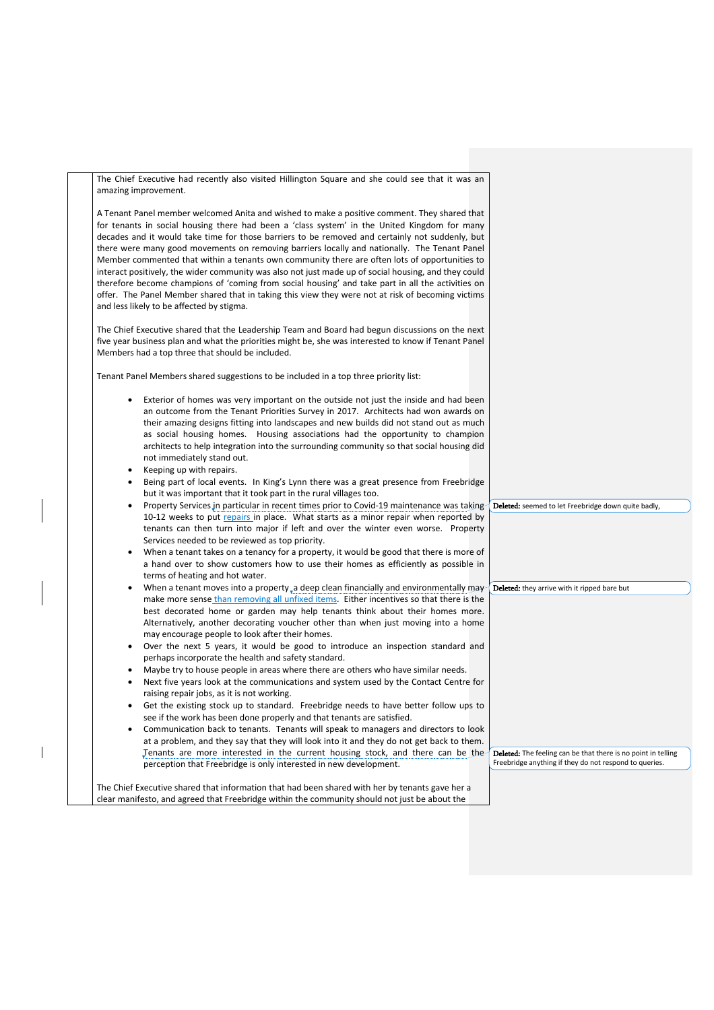The Chief Executive had recently also visited Hillington Square and she could see that it was an amazing improvement.

A Tenant Panel member welcomed Anita and wished to make a positive comment. They shared that for tenants in social housing there had been a 'class system' in the United Kingdom for many decades and it would take time for those barriers to be removed and certainly not suddenly, but there were many good movements on removing barriers locally and nationally. The Tenant Panel Member commented that within a tenants own community there are often lots of opportunities to interact positively, the wider community was also not just made up of social housing, and they could therefore become champions of 'coming from social housing' and take part in all the activities on offer. The Panel Member shared that in taking this view they were not at risk of becoming victims and less likely to be affected by stigma.

The Chief Executive shared that the Leadership Team and Board had begun discussions on the next five year business plan and what the priorities might be, she was interested to know if Tenant Panel Members had a top three that should be included.

Tenant Panel Members shared suggestions to be included in a top three priority list:

- Exterior of homes was very important on the outside not just the inside and had been an outcome from the Tenant Priorities Survey in 2017. Architects had won awards on their amazing designs fitting into landscapes and new builds did not stand out as much as social housing homes. Housing associations had the opportunity to champion architects to help integration into the surrounding community so that social housing did not immediately stand out.
- Keeping up with repairs.
- Being part of local events. In King's Lynn there was a great presence from Freebridge but it was important that it took part in the rural villages too.
- Property Services in particular in recent times prior to Covid-19 maintenance was taking 10-12 weeks to put repairs in place. What starts as a minor repair when reported by tenants can then turn into major if left and over the winter even worse. Property Services needed to be reviewed as top priority.
- When a tenant takes on a tenancy for a property, it would be good that there is more of a hand over to show customers how to use their homes as efficiently as possible in terms of heating and hot water.
- When a tenant moves into a property, a deep clean financially and environmentally may make more sense than removing all unfixed items. Either incentives so that there is the best decorated home or garden may help tenants think about their homes more. Alternatively, another decorating voucher other than when just moving into a home may encourage people to look after their homes.
- Over the next 5 years, it would be good to introduce an inspection standard and perhaps incorporate the health and safety standard.
- Maybe try to house people in areas where there are others who have similar needs.
- Next five years look at the communications and system used by the Contact Centre for raising repair jobs, as it is not working.
- Get the existing stock up to standard. Freebridge needs to have better follow ups to see if the work has been done properly and that tenants are satisfied.
- Communication back to tenants. Tenants will speak to managers and directors to look at a problem, and they say that they will look into it and they do not get back to them. Tenants are more interested in the current housing stock, and there can be the perception that Freebridge is only interested in new development.

Deleted: The feeling can be that there is no point in telling Freebridge anything if they do not respond to queries.

Deleted: seemed to let Freebridge down quite badly,

 $\int$  Deleted: they arrive with it ripped bare but

The Chief Executive shared that information that had been shared with her by tenants gave her a clear manifesto, and agreed that Freebridge within the community should not just be about the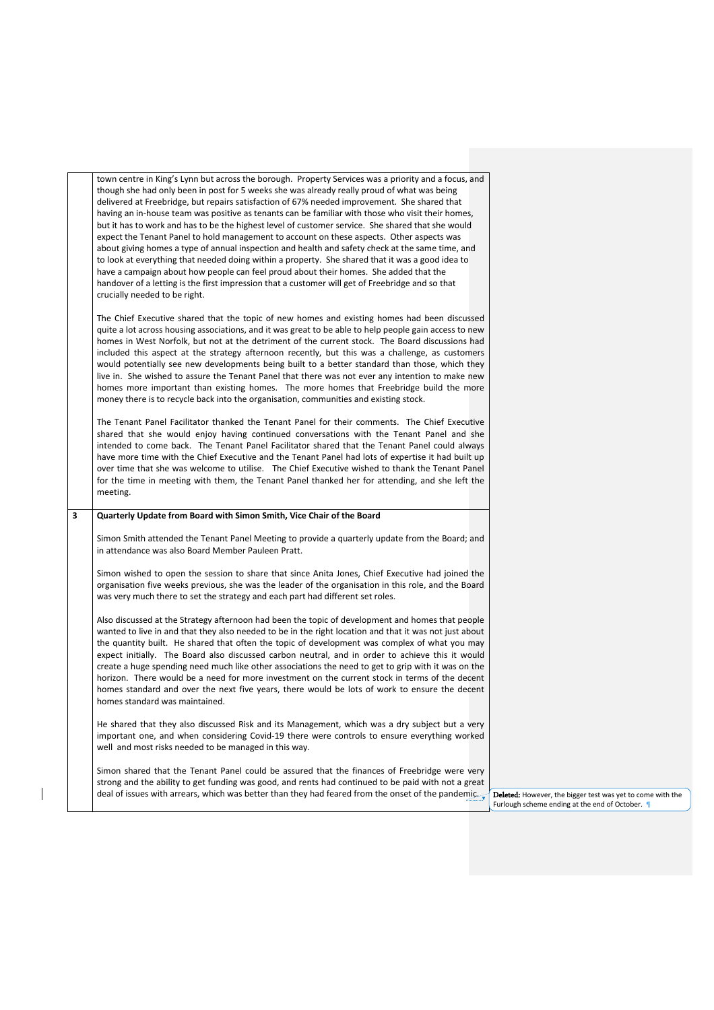|   | town centre in King's Lynn but across the borough. Property Services was a priority and a focus, and<br>though she had only been in post for 5 weeks she was already really proud of what was being<br>delivered at Freebridge, but repairs satisfaction of 67% needed improvement. She shared that<br>having an in-house team was positive as tenants can be familiar with those who visit their homes,<br>but it has to work and has to be the highest level of customer service. She shared that she would<br>expect the Tenant Panel to hold management to account on these aspects. Other aspects was<br>about giving homes a type of annual inspection and health and safety check at the same time, and<br>to look at everything that needed doing within a property. She shared that it was a good idea to<br>have a campaign about how people can feel proud about their homes. She added that the<br>handover of a letting is the first impression that a customer will get of Freebridge and so that<br>crucially needed to be right. |
|---|--------------------------------------------------------------------------------------------------------------------------------------------------------------------------------------------------------------------------------------------------------------------------------------------------------------------------------------------------------------------------------------------------------------------------------------------------------------------------------------------------------------------------------------------------------------------------------------------------------------------------------------------------------------------------------------------------------------------------------------------------------------------------------------------------------------------------------------------------------------------------------------------------------------------------------------------------------------------------------------------------------------------------------------------------|
|   | The Chief Executive shared that the topic of new homes and existing homes had been discussed<br>quite a lot across housing associations, and it was great to be able to help people gain access to new<br>homes in West Norfolk, but not at the detriment of the current stock. The Board discussions had<br>included this aspect at the strategy afternoon recently, but this was a challenge, as customers<br>would potentially see new developments being built to a better standard than those, which they<br>live in. She wished to assure the Tenant Panel that there was not ever any intention to make new<br>homes more important than existing homes. The more homes that Freebridge build the more<br>money there is to recycle back into the organisation, communities and existing stock.                                                                                                                                                                                                                                           |
|   | The Tenant Panel Facilitator thanked the Tenant Panel for their comments. The Chief Executive<br>shared that she would enjoy having continued conversations with the Tenant Panel and she<br>intended to come back. The Tenant Panel Facilitator shared that the Tenant Panel could always<br>have more time with the Chief Executive and the Tenant Panel had lots of expertise it had built up<br>over time that she was welcome to utilise. The Chief Executive wished to thank the Tenant Panel<br>for the time in meeting with them, the Tenant Panel thanked her for attending, and she left the<br>meeting.                                                                                                                                                                                                                                                                                                                                                                                                                               |
| 3 | Quarterly Update from Board with Simon Smith, Vice Chair of the Board<br>Simon Smith attended the Tenant Panel Meeting to provide a quarterly update from the Board; and<br>in attendance was also Board Member Pauleen Pratt.<br>Simon wished to open the session to share that since Anita Jones, Chief Executive had joined the<br>organisation five weeks previous, she was the leader of the organisation in this role, and the Board<br>was very much there to set the strategy and each part had different set roles.<br>Also discussed at the Strategy afternoon had been the topic of development and homes that people                                                                                                                                                                                                                                                                                                                                                                                                                 |
|   | wanted to live in and that they also needed to be in the right location and that it was not just about<br>the quantity built. He shared that often the topic of development was complex of what you may<br>expect initially. The Board also discussed carbon neutral, and in order to achieve this it would<br>create a huge spending need much like other associations the need to get to grip with it was on the<br>horizon. There would be a need for more investment on the current stock in terms of the decent<br>homes standard and over the next five years, there would be lots of work to ensure the decent<br>homes standard was maintained.                                                                                                                                                                                                                                                                                                                                                                                          |
|   | He shared that they also discussed Risk and its Management, which was a dry subject but a very<br>important one, and when considering Covid-19 there were controls to ensure everything worked<br>well and most risks needed to be managed in this way.                                                                                                                                                                                                                                                                                                                                                                                                                                                                                                                                                                                                                                                                                                                                                                                          |
|   | Simon shared that the Tenant Panel could be assured that the finances of Freebridge were very<br>strong and the ability to get funding was good, and rents had continued to be paid with not a great<br>deal of issues with arrears, which was better than they had feared from the onset of the pandemic. Deleted: However, the bigger test was yet to come with the                                                                                                                                                                                                                                                                                                                                                                                                                                                                                                                                                                                                                                                                            |

 $\begin{array}{c} \begin{array}{c} \end{array} \end{array}$ 

Furlough scheme ending at the end of October.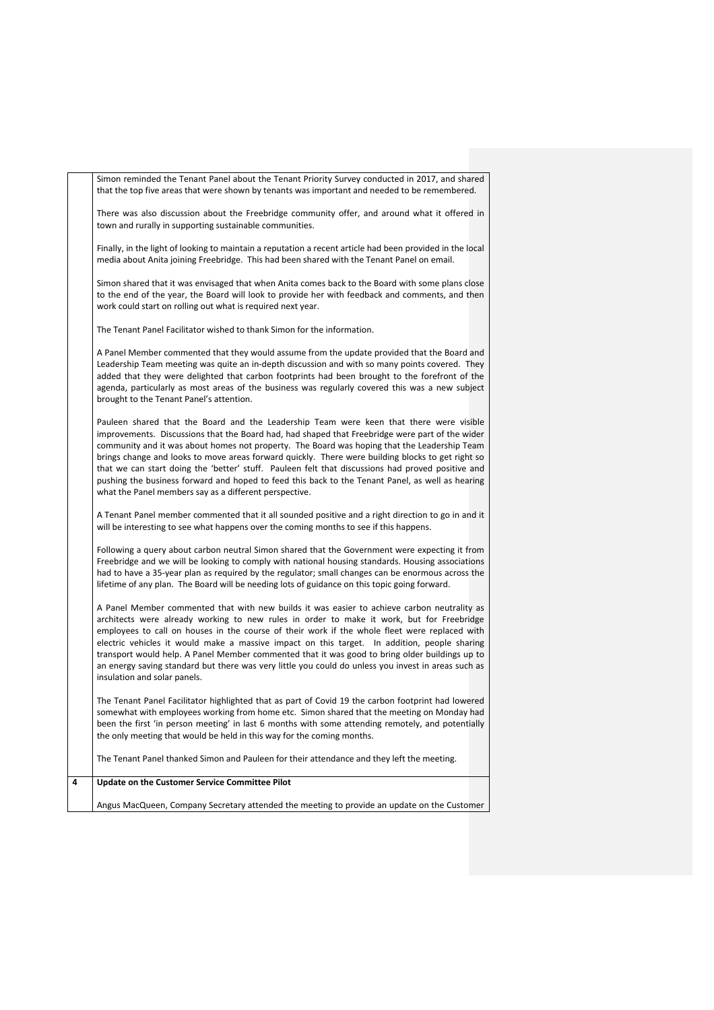Simon reminded the Tenant Panel about the Tenant Priority Survey conducted in 2017, and shared that the top five areas that were shown by tenants was important and needed to be remembered.

There was also discussion about the Freebridge community offer, and around what it offered in town and rurally in supporting sustainable communities.

Finally, in the light of looking to maintain a reputation a recent article had been provided in the local media about Anita joining Freebridge. This had been shared with the Tenant Panel on email.

Simon shared that it was envisaged that when Anita comes back to the Board with some plans close to the end of the year, the Board will look to provide her with feedback and comments, and then work could start on rolling out what is required next year.

The Tenant Panel Facilitator wished to thank Simon for the information.

A Panel Member commented that they would assume from the update provided that the Board and Leadership Team meeting was quite an in-depth discussion and with so many points covered. They added that they were delighted that carbon footprints had been brought to the forefront of the agenda, particularly as most areas of the business was regularly covered this was a new subject brought to the Tenant Panel's attention.

Pauleen shared that the Board and the Leadership Team were keen that there were visible improvements. Discussions that the Board had, had shaped that Freebridge were part of the wider community and it was about homes not property. The Board was hoping that the Leadership Team brings change and looks to move areas forward quickly. There were building blocks to get right so that we can start doing the 'better' stuff. Pauleen felt that discussions had proved positive and pushing the business forward and hoped to feed this back to the Tenant Panel, as well as hearing what the Panel members say as a different perspective.

A Tenant Panel member commented that it all sounded positive and a right direction to go in and it will be interesting to see what happens over the coming months to see if this happens.

Following a query about carbon neutral Simon shared that the Government were expecting it from Freebridge and we will be looking to comply with national housing standards. Housing associations had to have a 35-year plan as required by the regulator; small changes can be enormous across the lifetime of any plan. The Board will be needing lots of guidance on this topic going forward.

A Panel Member commented that with new builds it was easier to achieve carbon neutrality as architects were already working to new rules in order to make it work, but for Freebridge employees to call on houses in the course of their work if the whole fleet were replaced with electric vehicles it would make a massive impact on this target. In addition, people sharing transport would help. A Panel Member commented that it was good to bring older buildings up to an energy saving standard but there was very little you could do unless you invest in areas such as insulation and solar panels.

The Tenant Panel Facilitator highlighted that as part of Covid 19 the carbon footprint had lowered somewhat with employees working from home etc. Simon shared that the meeting on Monday had been the first 'in person meeting' in last 6 months with some attending remotely, and potentially the only meeting that would be held in this way for the coming months.

The Tenant Panel thanked Simon and Pauleen for their attendance and they left the meeting.

## **4 Update on the Customer Service Committee Pilot**

Angus MacQueen, Company Secretary attended the meeting to provide an update on the Customer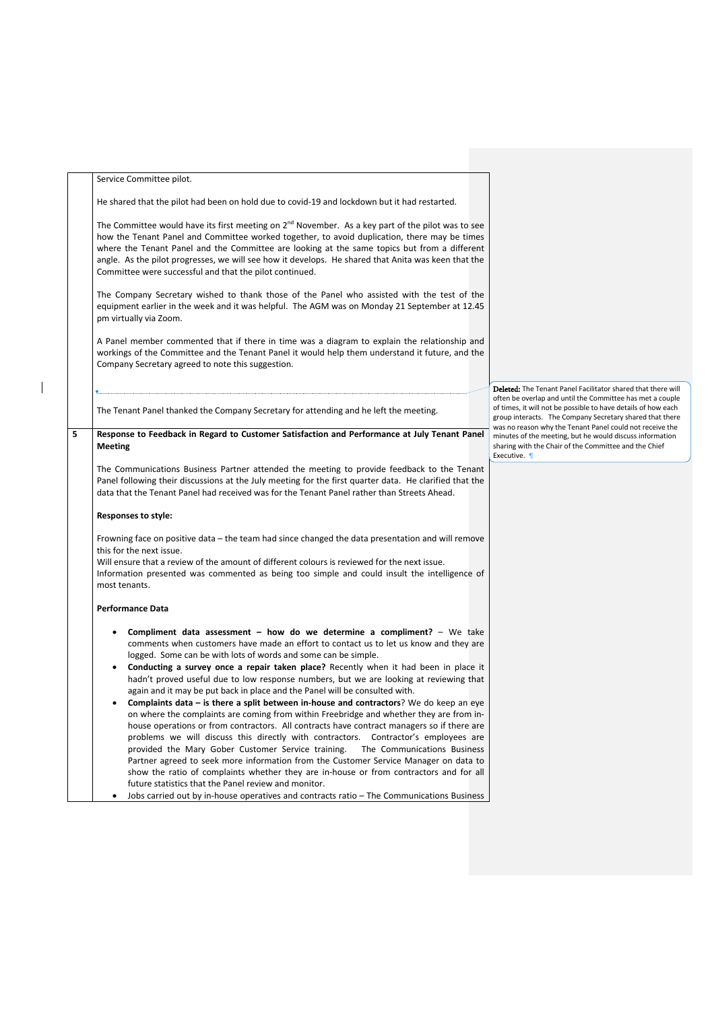|   | Service Committee pilot.                                                                                                                                                                                                                                                                                                                                                                                                                                                                                                                                                                                                                                                                                                                                                                                                                                                                                                                                                                                                                                                                                                                                                                         |                                                                          |
|---|--------------------------------------------------------------------------------------------------------------------------------------------------------------------------------------------------------------------------------------------------------------------------------------------------------------------------------------------------------------------------------------------------------------------------------------------------------------------------------------------------------------------------------------------------------------------------------------------------------------------------------------------------------------------------------------------------------------------------------------------------------------------------------------------------------------------------------------------------------------------------------------------------------------------------------------------------------------------------------------------------------------------------------------------------------------------------------------------------------------------------------------------------------------------------------------------------|--------------------------------------------------------------------------|
|   | He shared that the pilot had been on hold due to covid-19 and lockdown but it had restarted.                                                                                                                                                                                                                                                                                                                                                                                                                                                                                                                                                                                                                                                                                                                                                                                                                                                                                                                                                                                                                                                                                                     |                                                                          |
|   | The Committee would have its first meeting on $2nd$ November. As a key part of the pilot was to see<br>how the Tenant Panel and Committee worked together, to avoid duplication, there may be times<br>where the Tenant Panel and the Committee are looking at the same topics but from a different<br>angle. As the pilot progresses, we will see how it develops. He shared that Anita was keen that the<br>Committee were successful and that the pilot continued.                                                                                                                                                                                                                                                                                                                                                                                                                                                                                                                                                                                                                                                                                                                            |                                                                          |
|   | The Company Secretary wished to thank those of the Panel who assisted with the test of the<br>equipment earlier in the week and it was helpful. The AGM was on Monday 21 September at 12.45<br>pm virtually via Zoom.                                                                                                                                                                                                                                                                                                                                                                                                                                                                                                                                                                                                                                                                                                                                                                                                                                                                                                                                                                            |                                                                          |
|   | A Panel member commented that if there in time was a diagram to explain the relationship and<br>workings of the Committee and the Tenant Panel it would help them understand it future, and the<br>Company Secretary agreed to note this suggestion.                                                                                                                                                                                                                                                                                                                                                                                                                                                                                                                                                                                                                                                                                                                                                                                                                                                                                                                                             |                                                                          |
|   |                                                                                                                                                                                                                                                                                                                                                                                                                                                                                                                                                                                                                                                                                                                                                                                                                                                                                                                                                                                                                                                                                                                                                                                                  | Deleted: The T                                                           |
|   | The Tenant Panel thanked the Company Secretary for attending and he left the meeting.                                                                                                                                                                                                                                                                                                                                                                                                                                                                                                                                                                                                                                                                                                                                                                                                                                                                                                                                                                                                                                                                                                            | often be overla<br>of times, it will<br>group interact:<br>was no reason |
| 5 | Response to Feedback in Regard to Customer Satisfaction and Performance at July Tenant Panel<br>Meeting                                                                                                                                                                                                                                                                                                                                                                                                                                                                                                                                                                                                                                                                                                                                                                                                                                                                                                                                                                                                                                                                                          | minutes of the<br>sharing with th<br>Executive. 1                        |
|   | The Communications Business Partner attended the meeting to provide feedback to the Tenant<br>Panel following their discussions at the July meeting for the first quarter data. He clarified that the<br>data that the Tenant Panel had received was for the Tenant Panel rather than Streets Ahead.                                                                                                                                                                                                                                                                                                                                                                                                                                                                                                                                                                                                                                                                                                                                                                                                                                                                                             |                                                                          |
|   | <b>Responses to style:</b>                                                                                                                                                                                                                                                                                                                                                                                                                                                                                                                                                                                                                                                                                                                                                                                                                                                                                                                                                                                                                                                                                                                                                                       |                                                                          |
|   | Frowning face on positive data - the team had since changed the data presentation and will remove<br>this for the next issue.<br>Will ensure that a review of the amount of different colours is reviewed for the next issue.<br>Information presented was commented as being too simple and could insult the intelligence of<br>most tenants.                                                                                                                                                                                                                                                                                                                                                                                                                                                                                                                                                                                                                                                                                                                                                                                                                                                   |                                                                          |
|   | <b>Performance Data</b>                                                                                                                                                                                                                                                                                                                                                                                                                                                                                                                                                                                                                                                                                                                                                                                                                                                                                                                                                                                                                                                                                                                                                                          |                                                                          |
|   | Compliment data assessment $-$ how do we determine a compliment? $-$ We take<br>$\bullet$<br>comments when customers have made an effort to contact us to let us know and they are<br>logged. Some can be with lots of words and some can be simple.<br>Conducting a survey once a repair taken place? Recently when it had been in place it<br>$\bullet$<br>hadn't proved useful due to low response numbers, but we are looking at reviewing that<br>again and it may be put back in place and the Panel will be consulted with.<br>Complaints data – is there a split between in-house and contractors? We do keep an eye<br>$\bullet$<br>on where the complaints are coming from within Freebridge and whether they are from in-<br>house operations or from contractors. All contracts have contract managers so if there are<br>problems we will discuss this directly with contractors. Contractor's employees are<br>provided the Mary Gober Customer Service training.<br>The Communications Business<br>Partner agreed to seek more information from the Customer Service Manager on data to<br>show the ratio of complaints whether they are in-house or from contractors and for all |                                                                          |
|   | future statistics that the Panel review and monitor.                                                                                                                                                                                                                                                                                                                                                                                                                                                                                                                                                                                                                                                                                                                                                                                                                                                                                                                                                                                                                                                                                                                                             |                                                                          |

 $\overline{\phantom{a}}$ 

• Jobs carried out by in-house operatives and contracts ratio – The Communications Business

**Deleted:** The Tenant Panel Facilitator shared that there will<br>often be overlap and until the Committee has met a couple<br>of times, it will not be possible to have details of how each<br>group interacts. The Company Secretary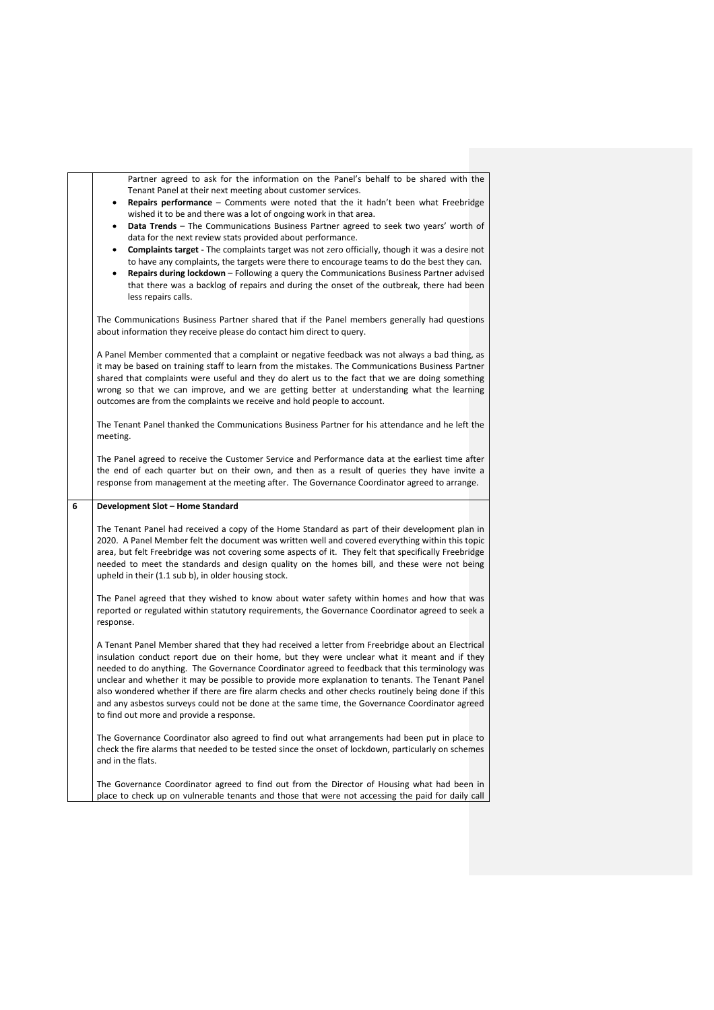Partner agreed to ask for the information on the Panel's behalf to be shared with the Tenant Panel at their next meeting about customer services. • **Repairs performance** – Comments were noted that the it hadn't been what Freebridge wished it to be and there was a lot of ongoing work in that area. • **Data Trends** – The Communications Business Partner agreed to seek two years' worth of data for the next review stats provided about performance. • **Complaints target -** The complaints target was not zero officially, though it was a desire not to have any complaints, the targets were there to encourage teams to do the best they can. • **Repairs during lockdown** – Following a query the Communications Business Partner advised that there was a backlog of repairs and during the onset of the outbreak, there had been less repairs calls. The Communications Business Partner shared that if the Panel members generally had questions about information they receive please do contact him direct to query. A Panel Member commented that a complaint or negative feedback was not always a bad thing, as it may be based on training staff to learn from the mistakes. The Communications Business Partner shared that complaints were useful and they do alert us to the fact that we are doing something wrong so that we can improve, and we are getting better at understanding what the learning outcomes are from the complaints we receive and hold people to account. The Tenant Panel thanked the Communications Business Partner for his attendance and he left the meeting. The Panel agreed to receive the Customer Service and Performance data at the earliest time after the end of each quarter but on their own, and then as a result of queries they have invite a response from management at the meeting after. The Governance Coordinator agreed to arrange. **6 Development Slot – Home Standard** The Tenant Panel had received a copy of the Home Standard as part of their development plan in 2020. A Panel Member felt the document was written well and covered everything within this topic area, but felt Freebridge was not covering some aspects of it. They felt that specifically Freebridge needed to meet the standards and design quality on the homes bill, and these were not being upheld in their (1.1 sub b), in older housing stock. The Panel agreed that they wished to know about water safety within homes and how that was reported or regulated within statutory requirements, the Governance Coordinator agreed to seek a response. A Tenant Panel Member shared that they had received a letter from Freebridge about an Electrical insulation conduct report due on their home, but they were unclear what it meant and if they needed to do anything. The Governance Coordinator agreed to feedback that this terminology was unclear and whether it may be possible to provide more explanation to tenants. The Tenant Panel also wondered whether if there are fire alarm checks and other checks routinely being done if this and any asbestos surveys could not be done at the same time, the Governance Coordinator agreed to find out more and provide a response. The Governance Coordinator also agreed to find out what arrangements had been put in place to check the fire alarms that needed to be tested since the onset of lockdown, particularly on schemes and in the flats.

The Governance Coordinator agreed to find out from the Director of Housing what had been in place to check up on vulnerable tenants and those that were not accessing the paid for daily call